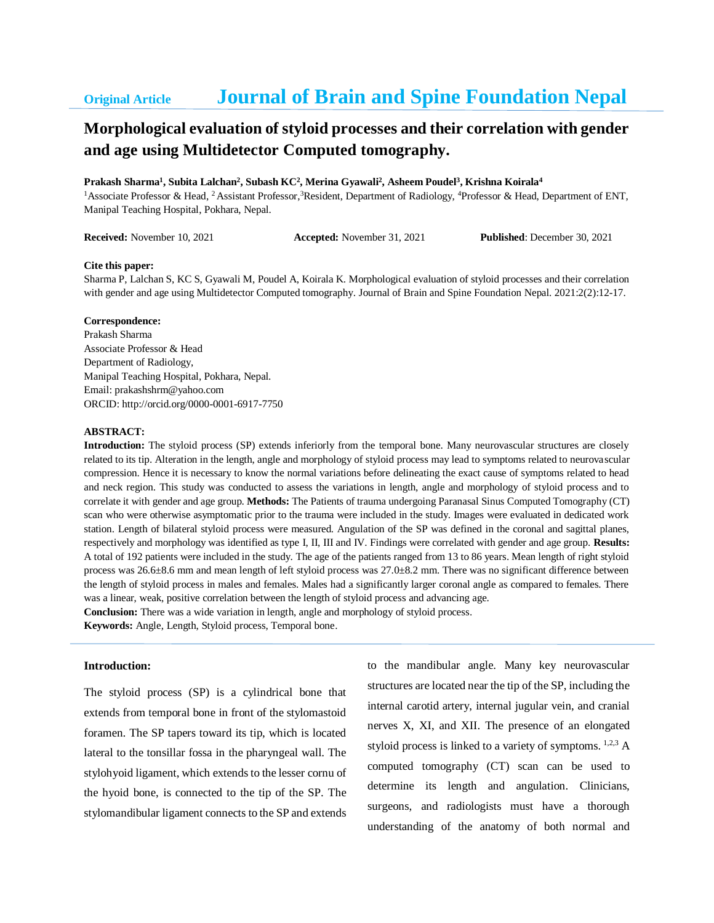# **Original Article Journal of Brain and Spine Foundation Nepal**

# **Morphological evaluation of styloid processes and their correlation with gender and age using Multidetector Computed tomography.**

**Prakash Sharma<sup>1</sup> , Subita Lalchan<sup>2</sup> , Subash KC<sup>2</sup> , Merina Gyawali<sup>2</sup> , Asheem Poudel<sup>3</sup> , Krishna Koirala<sup>4</sup>**

<sup>1</sup>Associate Professor & Head, <sup>2</sup>Assistant Professor,<sup>3</sup>Resident, Department of Radiology, <sup>4</sup>Professor & Head, Department of ENT, Manipal Teaching Hospital, Pokhara, Nepal.

**Received:** November 10, 2021 **Accepted:** November 31, 2021 **Published**: December 30, 2021

#### **Cite this paper:**

Sharma P, Lalchan S, KC S, Gyawali M, Poudel A, Koirala K. Morphological evaluation of styloid processes and their correlation with gender and age using Multidetector Computed tomography. Journal of Brain and Spine Foundation Nepal. 2021:2(2):12-17.

### **Correspondence:**

Prakash Sharma Associate Professor & Head Department of Radiology, Manipal Teaching Hospital, Pokhara, Nepal. Email: prakashshrm@yahoo.com ORCID: http://orcid.org/0000-0001-6917-7750

## **ABSTRACT:**

**Introduction:** The styloid process (SP) extends inferiorly from the temporal bone. Many neurovascular structures are closely related to its tip. Alteration in the length, angle and morphology of styloid process may lead to symptoms related to neurovascular compression. Hence it is necessary to know the normal variations before delineating the exact cause of symptoms related to head and neck region. This study was conducted to assess the variations in length, angle and morphology of styloid process and to correlate it with gender and age group. **Methods:** The Patients of trauma undergoing Paranasal Sinus Computed Tomography (CT) scan who were otherwise asymptomatic prior to the trauma were included in the study. Images were evaluated in dedicated work station. Length of bilateral styloid process were measured. Angulation of the SP was defined in the coronal and sagittal planes, respectively and morphology was identified as type I, II, III and IV. Findings were correlated with gender and age group. **Results:** A total of 192 patients were included in the study. The age of the patients ranged from 13 to 86 years. Mean length of right styloid process was 26.6±8.6 mm and mean length of left styloid process was 27.0±8.2 mm. There was no significant difference between the length of styloid process in males and females. Males had a significantly larger coronal angle as compared to females. There was a linear, weak, positive correlation between the length of styloid process and advancing age.

**Conclusion:** There was a wide variation in length, angle and morphology of styloid process.

**Keywords:** Angle, Length, Styloid process, Temporal bone.

## **Introduction:**

The styloid process (SP) is a cylindrical bone that extends from temporal bone in front of the stylomastoid foramen. The SP tapers toward its tip, which is located lateral to the tonsillar fossa in the pharyngeal wall. The stylohyoid ligament, which extends to the lesser cornu of the hyoid bone, is connected to the tip of the SP. The stylomandibular ligament connects to the SP and extends to the mandibular angle. Many key neurovascular structures are located near the tip of the SP, including the internal carotid artery, internal jugular vein, and cranial nerves X, XI, and XII. The presence of an elongated styloid process is linked to a variety of symptoms. 1,2,3 A computed tomography (CT) scan can be used to determine its length and angulation. Clinicians, surgeons, and radiologists must have a thorough understanding of the anatomy of both normal and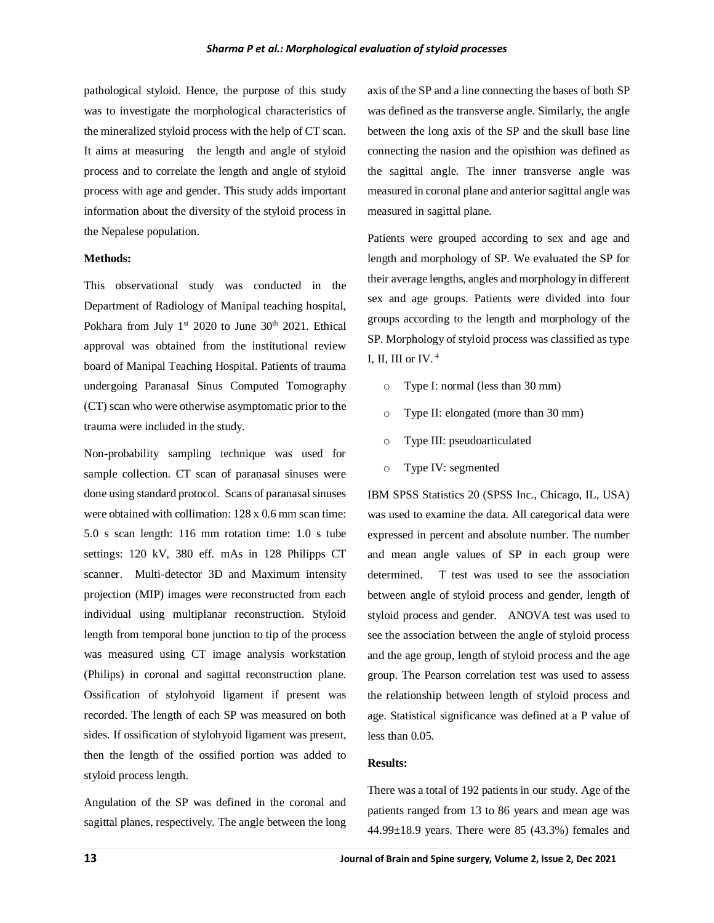pathological styloid. Hence, the purpose of this study was to investigate the morphological characteristics of the mineralized styloid process with the help of CT scan. It aims at measuring the length and angle of styloid process and to correlate the length and angle of styloid process with age and gender. This study adds important information about the diversity of the styloid process in the Nepalese population.

## **Methods:**

This observational study was conducted in the Department of Radiology of Manipal teaching hospital, Pokhara from July  $1^{st}$  2020 to June  $30^{th}$  2021. Ethical approval was obtained from the institutional review board of Manipal Teaching Hospital. Patients of trauma undergoing Paranasal Sinus Computed Tomography (CT) scan who were otherwise asymptomatic prior to the trauma were included in the study.

Non-probability sampling technique was used for sample collection. CT scan of paranasal sinuses were done using standard protocol. Scans of paranasal sinuses were obtained with collimation: 128 x 0.6 mm scan time: 5.0 s scan length: 116 mm rotation time: 1.0 s tube settings: 120 kV, 380 eff. mAs in 128 Philipps CT scanner. Multi-detector 3D and Maximum intensity projection (MIP) images were reconstructed from each individual using multiplanar reconstruction. Styloid length from temporal bone junction to tip of the process was measured using CT image analysis workstation (Philips) in coronal and sagittal reconstruction plane. Ossification of stylohyoid ligament if present was recorded. The length of each SP was measured on both sides. If ossification of stylohyoid ligament was present, then the length of the ossified portion was added to styloid process length.

Angulation of the SP was defined in the coronal and sagittal planes, respectively. The angle between the long axis of the SP and a line connecting the bases of both SP was defined as the transverse angle. Similarly, the angle between the long axis of the SP and the skull base line connecting the nasion and the opisthion was defined as the sagittal angle. The inner transverse angle was measured in coronal plane and anterior sagittal angle was measured in sagittal plane.

Patients were grouped according to sex and age and length and morphology of SP. We evaluated the SP for their average lengths, angles and morphology in different sex and age groups. Patients were divided into four groups according to the length and morphology of the SP. Morphology of styloid process was classified as type I, II, III or IV. <sup>4</sup>

- o Type I: normal (less than 30 mm)
- o Type II: elongated (more than 30 mm)
- o Type III: pseudoarticulated
- o Type IV: segmented

IBM SPSS Statistics 20 (SPSS Inc., Chicago, IL, USA) was used to examine the data. All categorical data were expressed in percent and absolute number. The number and mean angle values of SP in each group were determined. T test was used to see the association between angle of styloid process and gender, length of styloid process and gender. ANOVA test was used to see the association between the angle of styloid process and the age group, length of styloid process and the age group. The Pearson correlation test was used to assess the relationship between length of styloid process and age. Statistical significance was defined at a P value of less than 0.05.

# **Results:**

There was a total of 192 patients in our study. Age of the patients ranged from 13 to 86 years and mean age was  $44.99\pm18.9$  years. There were 85 (43.3%) females and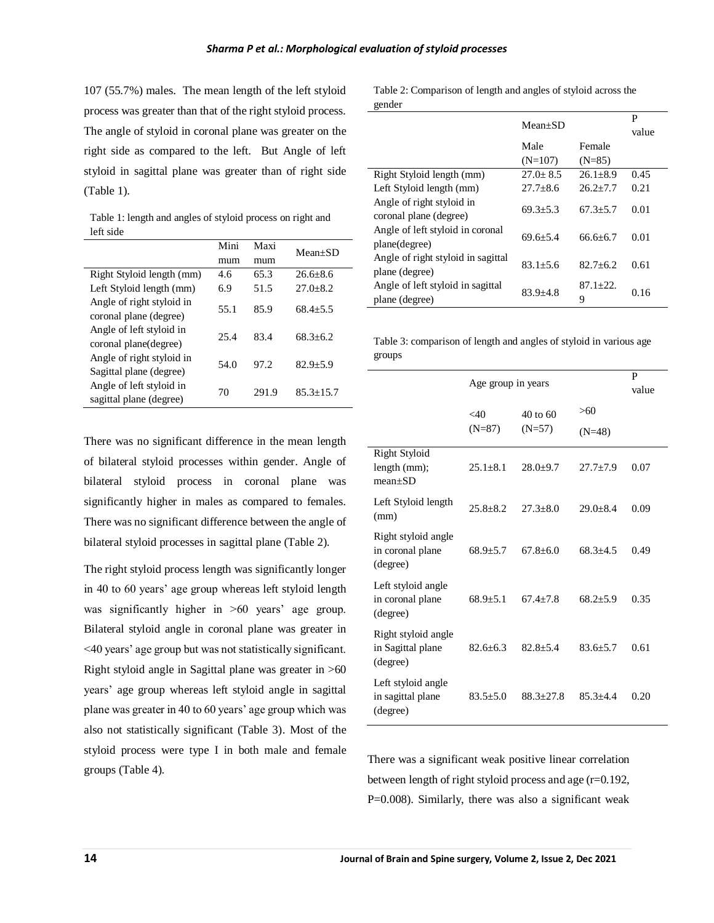107 (55.7%) males. The mean length of the left styloid process was greater than that of the right styloid process. The angle of styloid in coronal plane was greater on the right side as compared to the left. But Angle of left styloid in sagittal plane was greater than of right side (Table 1).

Table 1: length and angles of styloid process on right and left side

|                                                      | Mini<br>Maxi<br>mum<br>mum |       | $Mean+SD$      |  |
|------------------------------------------------------|----------------------------|-------|----------------|--|
|                                                      |                            |       |                |  |
| Right Styloid length (mm)                            | 4.6                        | 65.3  | $26.6 + 8.6$   |  |
| Left Styloid length (mm)                             | 6.9                        | 51.5  | $27.0 + 8.2$   |  |
| Angle of right styloid in<br>coronal plane (degree)  | 55.1                       | 85.9  | $68.4 + 5.5$   |  |
| Angle of left styloid in<br>coronal plane(degree)    | 25.4                       | 83.4  | $68.3 + 6.2$   |  |
| Angle of right styloid in<br>Sagittal plane (degree) | 54.0                       | 97.2  | $82.9 \pm 5.9$ |  |
| Angle of left styloid in<br>sagittal plane (degree)  | 70                         | 291.9 | $85.3 + 15.7$  |  |

There was no significant difference in the mean length of bilateral styloid processes within gender. Angle of bilateral styloid process in coronal plane was significantly higher in males as compared to females. There was no significant difference between the angle of bilateral styloid processes in sagittal plane (Table 2).

The right styloid process length was significantly longer in 40 to 60 years' age group whereas left styloid length was significantly higher in >60 years' age group. Bilateral styloid angle in coronal plane was greater in <40 years' age group but was not statistically significant. Right styloid angle in Sagittal plane was greater in >60 years' age group whereas left styloid angle in sagittal plane was greater in 40 to 60 years' age group which was also not statistically significant (Table 3). Most of the styloid process were type I in both male and female groups (Table 4).

Table 2: Comparison of length and angles of styloid across the gender

|                                                      | $Mean+SD$      |                   | P<br>value |
|------------------------------------------------------|----------------|-------------------|------------|
|                                                      | Male           | Female            |            |
|                                                      | $(N=107)$      | $(N=85)$          |            |
| Right Styloid length (mm)                            | $27.0 \pm 8.5$ | $26.1 \pm 8.9$    | 0.45       |
| Left Styloid length (mm)                             | $27.7 + 8.6$   | $26.2 + 7.7$      | 0.21       |
| Angle of right styloid in<br>coronal plane (degree)  | $69.3 + 5.3$   | $67.3 + 5.7$      | 0.01       |
| Angle of left styloid in coronal<br>plane(degree)    | $69.6 + 5.4$   | $66.6 + 6.7$      | 0.01       |
| Angle of right styloid in sagittal<br>plane (degree) | $83.1 + 5.6$   | $82.7 + 6.2$      | 0.61       |
| Angle of left styloid in sagittal<br>plane (degree)  | $83.9 + 4.8$   | $87.1 + 22.$<br>9 | 0.16       |

Table 3: comparison of length and angles of styloid in various age groups

|                                                      | Age group in years     |               |              | P<br>value |
|------------------------------------------------------|------------------------|---------------|--------------|------------|
|                                                      | $<$ 40<br>$40$ to $60$ |               | >60          |            |
|                                                      | $(N=87)$               | $(N=57)$      | $(N=48)$     |            |
| <b>Right Styloid</b><br>length (mm);<br>$mean+SD$    | $25.1 + 8.1$           | $28.0 + 9.7$  | $27.7 + 7.9$ | 0.07       |
| Left Styloid length<br>(mm)                          | $25.8 + 8.2$           | $27.3 + 8.0$  | $29.0 + 8.4$ | 0.09       |
| Right styloid angle<br>in coronal plane<br>(degree)  | $68.9 + 5.7$           | $67.8 + 6.0$  | $68.3 + 4.5$ | 0.49       |
| Left styloid angle<br>in coronal plane<br>(degree)   | $68.9 + 5.1$           | $67.4 + 7.8$  | $68.2 + 5.9$ | 0.35       |
| Right styloid angle<br>in Sagittal plane<br>(degree) | $82.6 + 6.3$           | $82.8 + 5.4$  | $83.6 + 5.7$ | 0.61       |
| Left styloid angle<br>in sagittal plane<br>(degree)  | $83.5 + 5.0$           | $88.3 + 27.8$ | $85.3 + 4.4$ | 0.20       |

There was a significant weak positive linear correlation between length of right styloid process and age (r=0.192, P=0.008). Similarly, there was also a significant weak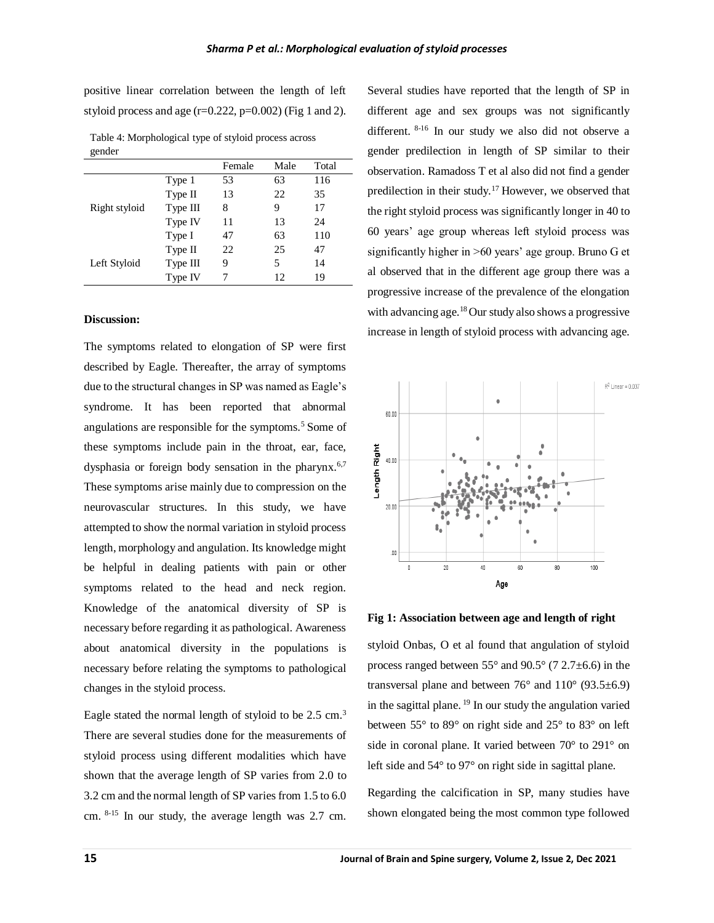positive linear correlation between the length of left styloid process and age  $(r=0.222, p=0.002)$  (Fig 1 and 2).

Table 4: Morphological type of styloid process across gender

|               |          | Female | Male | Total |
|---------------|----------|--------|------|-------|
| Right styloid | Type 1   | 53     | 63   | 116   |
|               | Type II  | 13     | 22   | 35    |
|               | Type III | 8      | 9    | 17    |
|               | Type IV  | 11     | 13   | 24    |
|               | Type I   | 47     | 63   | 110   |
| Left Styloid  | Type II  | 22     | 25   | 47    |
|               | Type III | 9      | 5    | 14    |
|               | Type IV  |        | 12   | 19    |

# **Discussion:**

The symptoms related to elongation of SP were first described by Eagle. Thereafter, the array of symptoms due to the structural changes in SP was named as Eagle's syndrome. It has been reported that abnormal angulations are responsible for the symptoms. $5$  Some of these symptoms include pain in the throat, ear, face, dysphasia or foreign body sensation in the pharynx.<sup>6,7</sup> These symptoms arise mainly due to compression on the neurovascular structures. In this study, we have attempted to show the normal variation in styloid process length, morphology and angulation. Its knowledge might be helpful in dealing patients with pain or other symptoms related to the head and neck region. Knowledge of the anatomical diversity of SP is necessary before regarding it as pathological. Awareness about anatomical diversity in the populations is necessary before relating the symptoms to pathological changes in the styloid process.

Eagle stated the normal length of styloid to be 2.5 cm.<sup>3</sup> There are several studies done for the measurements of styloid process using different modalities which have shown that the average length of SP varies from 2.0 to 3.2 cm and the normal length of SP varies from 1.5 to 6.0 cm. 8-15 In our study, the average length was 2.7 cm.

Several studies have reported that the length of SP in different age and sex groups was not significantly different. 8-16 In our study we also did not observe a gender predilection in length of SP similar to their observation. Ramadoss T et al also did not find a gender predilection in their study.<sup>17</sup> However, we observed that the right styloid process was significantly longer in 40 to 60 years' age group whereas left styloid process was significantly higher in >60 years' age group. Bruno G et al observed that in the different age group there was a progressive increase of the prevalence of the elongation with advancing age.<sup>18</sup> Our study also shows a progressive increase in length of styloid process with advancing age.



**Fig 1: Association between age and length of right**

styloid Onbas, O et al found that angulation of styloid process ranged between  $55^{\circ}$  and  $90.5^{\circ}$  (7  $2.7\pm6.6$ ) in the transversal plane and between  $76^{\circ}$  and  $110^{\circ}$  (93.5 $\pm$ 6.9) in the sagittal plane. <sup>19</sup> In our study the angulation varied between 55° to 89° on right side and 25° to 83° on left side in coronal plane. It varied between 70° to 291° on left side and 54° to 97° on right side in sagittal plane.

Regarding the calcification in SP, many studies have shown elongated being the most common type followed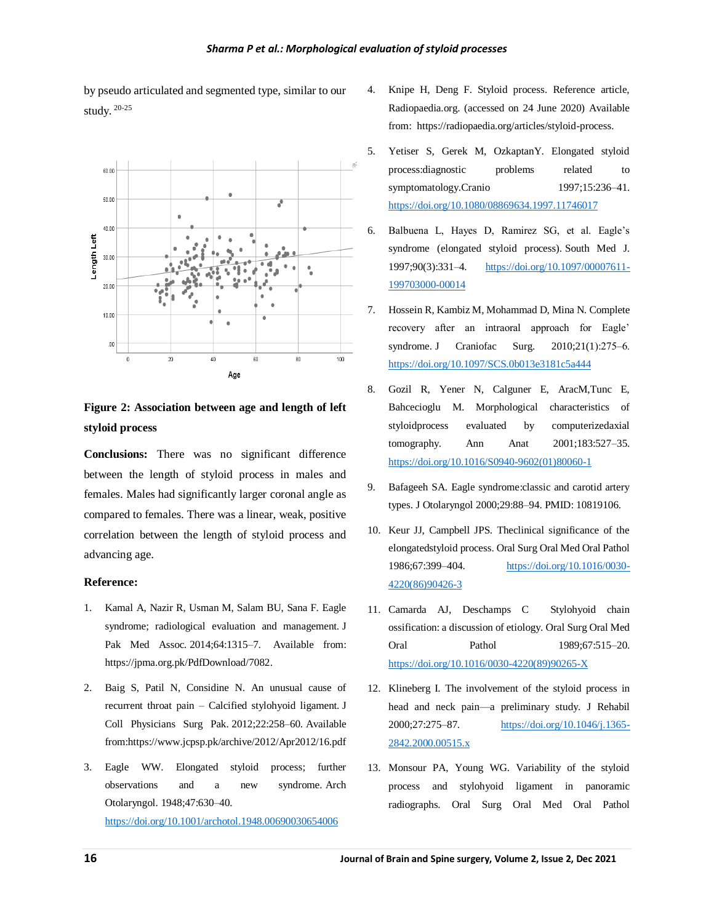

by pseudo articulated and segmented type, similar to our study. 20-25

**Figure 2: Association between age and length of left styloid process** 

**Conclusions:** There was no significant difference between the length of styloid process in males and females. Males had significantly larger coronal angle as compared to females. There was a linear, weak, positive correlation between the length of styloid process and advancing age.

# **Reference:**

- 1. Kamal A, Nazir R, Usman M, Salam BU, Sana F. Eagle syndrome; radiological evaluation and management. J Pak Med Assoc. 2014;64:1315–7. Available from: https://jpma.org.pk/PdfDownload/7082.
- 2. Baig S, Patil N, Considine N. An unusual cause of recurrent throat pain – Calcified stylohyoid ligament. J Coll Physicians Surg Pak. 2012;22:258–60. Available from:https://www.jcpsp.pk/archive/2012/Apr2012/16.pdf
- 3. Eagle WW. Elongated styloid process; further observations and a new syndrome. Arch Otolaryngol. 1948;47:630–40. <https://doi.org/10.1001/archotol.1948.00690030654006>
- 4. Knipe H, Deng F. Styloid process. Reference article, Radiopaedia.org. (accessed on 24 June 2020) Available from: https://radiopaedia.org/articles/styloid-process.
- 5. Yetiser S, Gerek M, OzkaptanY. Elongated styloid process:diagnostic problems related to symptomatology.Cranio 1997;15:236-41. <https://doi.org/10.1080/08869634.1997.11746017>
- 6. Balbuena L, Hayes D, Ramirez SG, et al. Eagle's syndrome (elongated styloid process). South Med J. 1997;90(3):331‒4. [https://doi.org/10.1097/00007611-](https://doi.org/10.1097/00007611-199703000-00014) [199703000-00014](https://doi.org/10.1097/00007611-199703000-00014)
- 7. Hossein R, Kambiz M, Mohammad D, Mina N. Complete recovery after an intraoral approach for Eagle' syndrome. J Craniofac Surg.  $2010;21(1):275-6$ . <https://doi.org/10.1097/SCS.0b013e3181c5a444>
- 8. Gozil R, Yener N, Calguner E, AracM,Tunc E, Bahcecioglu M. Morphological characteristics of styloidprocess evaluated by computerizedaxial tomography. Ann Anat 2001;183:527–35. [https://doi.org/10.1016/S0940-9602\(01\)80060-1](https://doi.org/10.1016/S0940-9602(01)80060-1)
- 9. Bafageeh SA. Eagle syndrome:classic and carotid artery types. J Otolaryngol 2000;29:88–94. PMID: 10819106.
- 10. Keur JJ, Campbell JPS. Theclinical significance of the elongatedstyloid process. Oral Surg Oral Med Oral Pathol 1986;67:399–404. [https://doi.org/10.1016/0030-](https://doi.org/10.1016/0030-4220(86)90426-3) [4220\(86\)90426-3](https://doi.org/10.1016/0030-4220(86)90426-3)
- 11. Camarda AJ, Deschamps C Stylohyoid chain ossification: a discussion of etiology. Oral Surg Oral Med Oral Pathol 1989;67:515–20. [https://doi.org/10.1016/0030-4220\(89\)90265-X](https://doi.org/10.1016/0030-4220(89)90265-X)
- 12. Klineberg I. The involvement of the styloid process in head and neck pain—a preliminary study. J Rehabil 2000;27:275–87. [https://doi.org/10.1046/j.1365-](https://doi.org/10.1046/j.1365-2842.2000.00515.x) [2842.2000.00515.x](https://doi.org/10.1046/j.1365-2842.2000.00515.x)
- 13. Monsour PA, Young WG. Variability of the styloid process and stylohyoid ligament in panoramic radiographs. Oral Surg Oral Med Oral Pathol